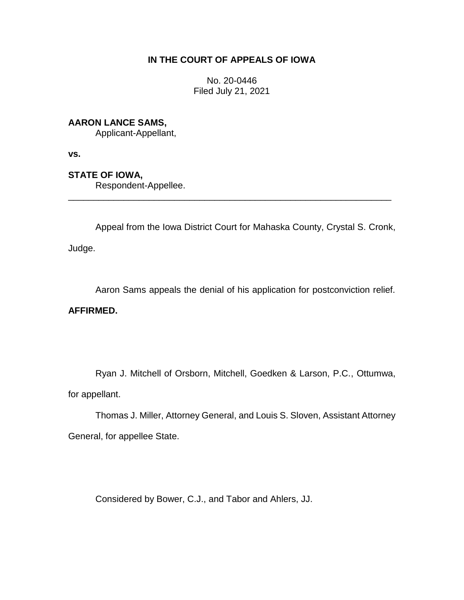## **IN THE COURT OF APPEALS OF IOWA**

No. 20-0446 Filed July 21, 2021

## **AARON LANCE SAMS,**

Applicant-Appellant,

**vs.**

## **STATE OF IOWA,**

Respondent-Appellee.

Appeal from the Iowa District Court for Mahaska County, Crystal S. Cronk,

\_\_\_\_\_\_\_\_\_\_\_\_\_\_\_\_\_\_\_\_\_\_\_\_\_\_\_\_\_\_\_\_\_\_\_\_\_\_\_\_\_\_\_\_\_\_\_\_\_\_\_\_\_\_\_\_\_\_\_\_\_\_\_\_

Judge.

Aaron Sams appeals the denial of his application for postconviction relief.

## **AFFIRMED.**

Ryan J. Mitchell of Orsborn, Mitchell, Goedken & Larson, P.C., Ottumwa, for appellant.

Thomas J. Miller, Attorney General, and Louis S. Sloven, Assistant Attorney General, for appellee State.

Considered by Bower, C.J., and Tabor and Ahlers, JJ.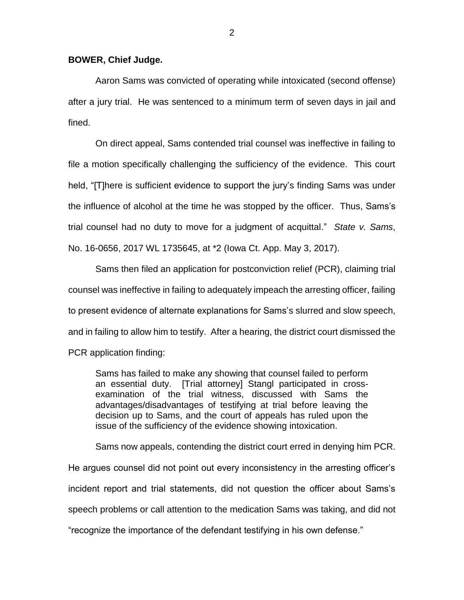Aaron Sams was convicted of operating while intoxicated (second offense) after a jury trial. He was sentenced to a minimum term of seven days in jail and fined.

On direct appeal, Sams contended trial counsel was ineffective in failing to file a motion specifically challenging the sufficiency of the evidence. This court held, "[T]here is sufficient evidence to support the jury's finding Sams was under the influence of alcohol at the time he was stopped by the officer. Thus, Sams's trial counsel had no duty to move for a judgment of acquittal." *State v. Sams*, No. 16-0656, 2017 WL 1735645, at \*2 (Iowa Ct. App. May 3, 2017).

Sams then filed an application for postconviction relief (PCR), claiming trial counsel was ineffective in failing to adequately impeach the arresting officer, failing to present evidence of alternate explanations for Sams's slurred and slow speech, and in failing to allow him to testify. After a hearing, the district court dismissed the PCR application finding:

Sams has failed to make any showing that counsel failed to perform an essential duty. [Trial attorney] Stangl participated in crossexamination of the trial witness, discussed with Sams the advantages/disadvantages of testifying at trial before leaving the decision up to Sams, and the court of appeals has ruled upon the issue of the sufficiency of the evidence showing intoxication.

Sams now appeals, contending the district court erred in denying him PCR. He argues counsel did not point out every inconsistency in the arresting officer's incident report and trial statements, did not question the officer about Sams's speech problems or call attention to the medication Sams was taking, and did not "recognize the importance of the defendant testifying in his own defense."